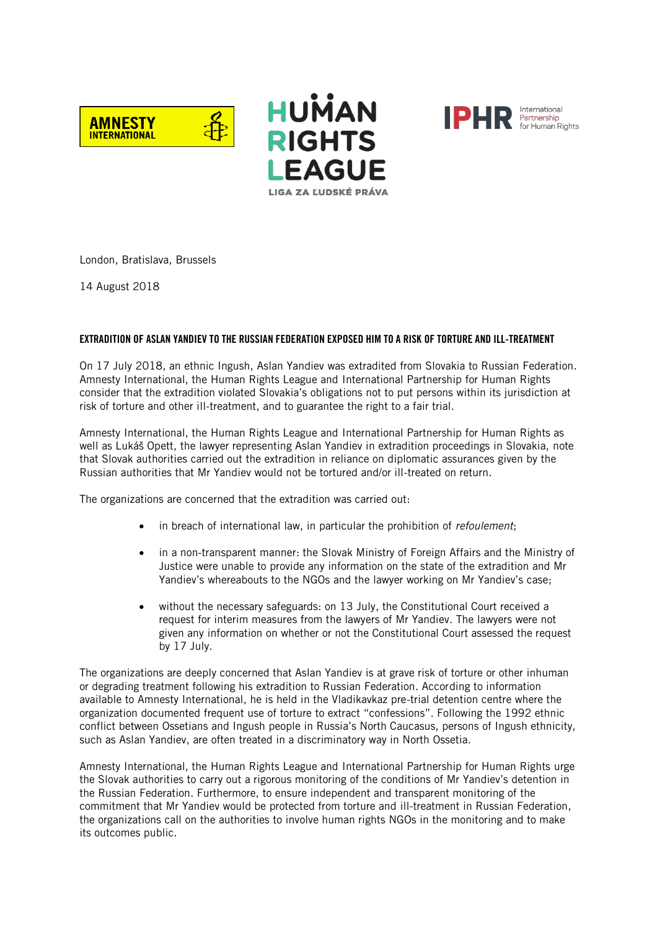





London, Bratislava, Brussels

14 August 2018

# EXTRADITION OF ASLAN YANDIEV TO THE RUSSIAN FEDERATION EXPOSED HIM TO A RISK OF TORTURE AND ILL-TREATMENT

On 17 July 2018, an ethnic Ingush, Aslan Yandiev was extradited from Slovakia to Russian Federation. Amnesty International, the Human Rights League and International Partnership for Human Rights consider that the extradition violated Slovakia's obligations not to put persons within its jurisdiction at risk of torture and other ill-treatment, and to guarantee the right to a fair trial.

Amnesty International, the Human Rights League and International Partnership for Human Rights as well as Lukáš Opett, the lawyer representing Aslan Yandiev in extradition proceedings in Slovakia, note that Slovak authorities carried out the extradition in reliance on diplomatic assurances given by the Russian authorities that Mr Yandiev would not be tortured and/or ill-treated on return.

The organizations are concerned that the extradition was carried out:

- in breach of international law, in particular the prohibition of refoulement;
- in a non-transparent manner: the Slovak Ministry of Foreign Affairs and the Ministry of Justice were unable to provide any information on the state of the extradition and Mr Yandiev's whereabouts to the NGOs and the lawyer working on Mr Yandiev's case;
- without the necessary safeguards: on 13 July, the Constitutional Court received a request for interim measures from the lawyers of Mr Yandiev. The lawyers were not given any information on whether or not the Constitutional Court assessed the request by 17 July.

The organizations are deeply concerned that Aslan Yandiev is at grave risk of torture or other inhuman or degrading treatment following his extradition to Russian Federation. According to information available to Amnesty International, he is held in the Vladikavkaz pre-trial detention centre where the organization documented frequent use of torture to extract "confessions". Following the 1992 ethnic conflict between Ossetians and Ingush people in Russia's North Caucasus, persons of Ingush ethnicity, such as Aslan Yandiev, are often treated in a discriminatory way in North Ossetia.

Amnesty International, the Human Rights League and International Partnership for Human Rights urge the Slovak authorities to carry out a rigorous monitoring of the conditions of Mr Yandiev's detention in the Russian Federation. Furthermore, to ensure independent and transparent monitoring of the commitment that Mr Yandiev would be protected from torture and ill-treatment in Russian Federation, the organizations call on the authorities to involve human rights NGOs in the monitoring and to make its outcomes public.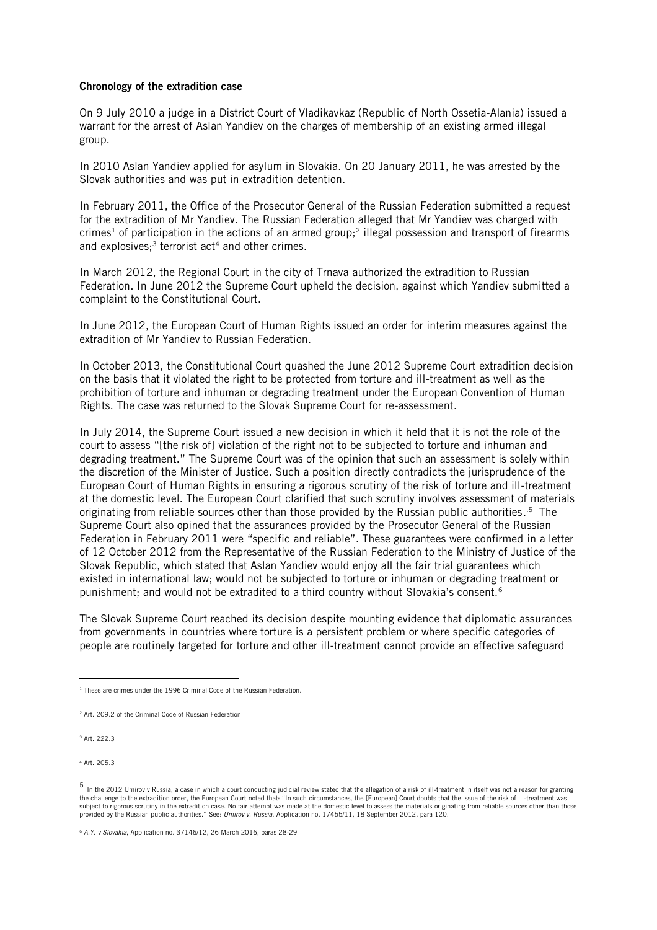#### Chronology of the extradition case

On 9 July 2010 a judge in a District Court of Vladikavkaz (Republic of North Ossetia-Alania) issued a warrant for the arrest of Aslan Yandiev on the charges of membership of an existing armed illegal group.

In 2010 Aslan Yandiev applied for asylum in Slovakia. On 20 January 2011, he was arrested by the Slovak authorities and was put in extradition detention.

In February 2011, the Office of the Prosecutor General of the Russian Federation submitted a request for the extradition of Mr Yandiev. The Russian Federation alleged that Mr Yandiev was charged with crimes<sup>1</sup> of participation in the actions of an armed group;<sup>2</sup> illegal possession and transport of firearms and explosives; $3$  terrorist act<sup>4</sup> and other crimes.

In March 2012, the Regional Court in the city of Trnava authorized the extradition to Russian Federation. In June 2012 the Supreme Court upheld the decision, against which Yandiev submitted a complaint to the Constitutional Court.

In June 2012, the European Court of Human Rights issued an order for interim measures against the extradition of Mr Yandiev to Russian Federation.

In October 2013, the Constitutional Court quashed the June 2012 Supreme Court extradition decision on the basis that it violated the right to be protected from torture and ill-treatment as well as the prohibition of torture and inhuman or degrading treatment under the European Convention of Human Rights. The case was returned to the Slovak Supreme Court for re-assessment.

In July 2014, the Supreme Court issued a new decision in which it held that it is not the role of the court to assess "[the risk of] violation of the right not to be subjected to torture and inhuman and degrading treatment." The Supreme Court was of the opinion that such an assessment is solely within the discretion of the Minister of Justice. Such a position directly contradicts the jurisprudence of the European Court of Human Rights in ensuring a rigorous scrutiny of the risk of torture and ill-treatment at the domestic level. The European Court clarified that such scrutiny involves assessment of materials originating from reliable sources other than those provided by the Russian public authorities. .5 The Supreme Court also opined that the assurances provided by the Prosecutor General of the Russian Federation in February 2011 were "specific and reliable". These guarantees were confirmed in a letter of 12 October 2012 from the Representative of the Russian Federation to the Ministry of Justice of the Slovak Republic, which stated that Aslan Yandiev would enjoy all the fair trial guarantees which existed in international law; would not be subjected to torture or inhuman or degrading treatment or punishment; and would not be extradited to a third country without Slovakia's consent.<sup>6</sup>

The Slovak Supreme Court reached its decision despite mounting evidence that diplomatic assurances from governments in countries where torture is a persistent problem or where specific categories of people are routinely targeted for torture and other ill-treatment cannot provide an effective safeguard

<sup>3</sup> Art. 222.3

<sup>4</sup> Art. 205.3

 <sup>1</sup> These are crimes under the 1996 Criminal Code of the Russian Federation.

<sup>2</sup> Art. 209.2 of the Criminal Code of Russian Federation

<sup>5</sup> In the 2012 Umirov v Russia, a case in which a court conducting judicial review stated that the allegation of a risk of ill-treatment in itself was not a reason for granting the challenge to the extradition order, the European Court noted that: "In such circumstances, the [European] Court doubts that the issue of the risk of ill-treatment was subject to rigorous scrutiny in the extradition case. No fair attempt was made at the domestic level to assess the materials originating from reliable sources other than those provided by the Russian public authorities." See: Umirov v. Russia, Application no. 17455/11, 18 September 2012, para 120.

<sup>6</sup> A.Y. v Slovakia, Application no. 37146/12, 26 March 2016, paras 28-29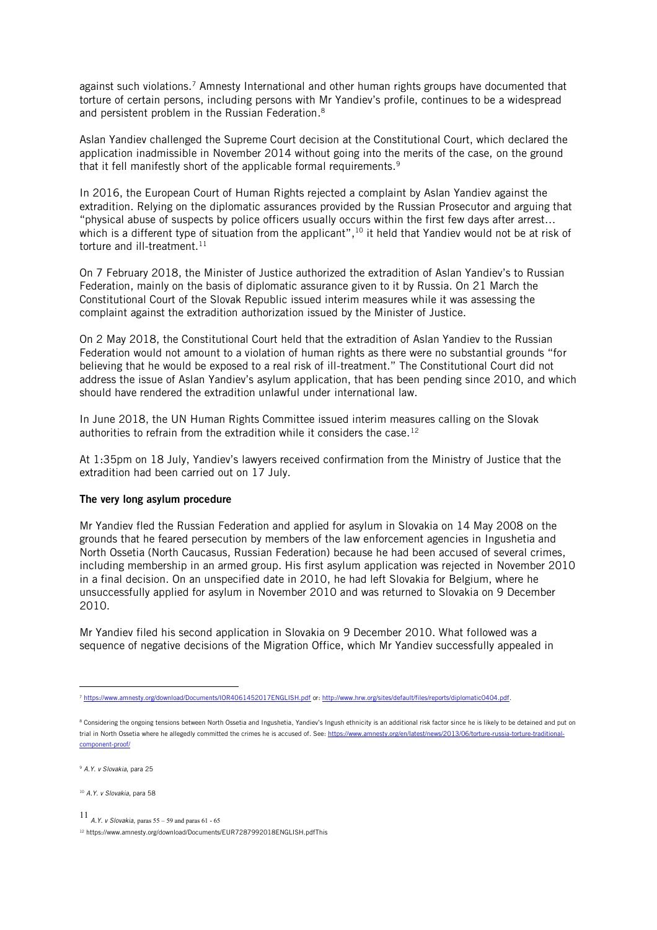against such violations.<sup>7</sup> Amnesty International and other human rights groups have documented that torture of certain persons, including persons with Mr Yandiev's profile, continues to be a widespread and persistent problem in the Russian Federation. 8

Aslan Yandiev challenged the Supreme Court decision at the Constitutional Court, which declared the application inadmissible in November 2014 without going into the merits of the case, on the ground that it fell manifestly short of the applicable formal requirements.<sup>9</sup>

In 2016, the European Court of Human Rights rejected a complaint by Aslan Yandiev against the extradition. Relying on the diplomatic assurances provided by the Russian Prosecutor and arguing that "physical abuse of suspects by police officers usually occurs within the first few days after arrest… which is a different type of situation from the applicant", $^{\rm 10}$  it held that Yandiev would not be at risk of torture and ill-treatment. $11$ 

On 7 February 2018, the Minister of Justice authorized the extradition of Aslan Yandiev's to Russian Federation, mainly on the basis of diplomatic assurance given to it by Russia. On 21 March the Constitutional Court of the Slovak Republic issued interim measures while it was assessing the complaint against the extradition authorization issued by the Minister of Justice.

On 2 May 2018, the Constitutional Court held that the extradition of Aslan Yandiev to the Russian Federation would not amount to a violation of human rights as there were no substantial grounds "for believing that he would be exposed to a real risk of ill-treatment." The Constitutional Court did not address the issue of Aslan Yandiev's asylum application, that has been pending since 2010, and which should have rendered the extradition unlawful under international law.

In June 2018, the UN Human Rights Committee issued interim measures calling on the Slovak authorities to refrain from the extradition while it considers the case.<sup>12</sup>

At 1:35pm on 18 July, Yandiev's lawyers received confirmation from the Ministry of Justice that the extradition had been carried out on 17 July.

## The very long asylum procedure

Mr Yandiev fled the Russian Federation and applied for asylum in Slovakia on 14 May 2008 on the grounds that he feared persecution by members of the law enforcement agencies in Ingushetia and North Ossetia (North Caucasus, Russian Federation) because he had been accused of several crimes, including membership in an armed group. His first asylum application was rejected in November 2010 in a final decision. On an unspecified date in 2010, he had left Slovakia for Belgium, where he unsuccessfully applied for asylum in November 2010 and was returned to Slovakia on 9 December 2010.

Mr Yandiev filed his second application in Slovakia on 9 December 2010. What followed was a sequence of negative decisions of the Migration Office, which Mr Yandiev successfully appealed in

<sup>9</sup> A.Y. v Slovakia, para 25

<sup>10</sup> A.Y. v Slovakia, para 58

11 *A.Y. v Slovakia*, paras  $55 - 59$  and paras  $61 - 65$ 

<sup>12</sup> https://www.amnesty.org/download/Documents/EUR7287992018ENGLISH.pdfThis

 <sup>7</sup> <https://www.amnesty.org/download/Documents/IOR4061452017ENGLISH.pdf> or[: http://www.hrw.org/sites/default/files/reports/diplomatic0404.pdf.](http://www.hrw.org/sites/default/files/reports/diplomatic0404.pdf)

<sup>&</sup>lt;sup>8</sup> Considering the ongoing tensions between North Ossetia and Ingushetia, Yandiev's Ingush ethnicity is an additional risk factor since he is likely to be detained and put on trial in North Ossetia where he allegedly committed the crimes he is accused of. See[: https://www.amnesty.org/en/latest/news/2013/06/torture-russia-torture-traditional](https://www.amnesty.org/en/latest/news/2013/06/torture-russia-torture-traditional-component-proof/)[component-proof/](https://www.amnesty.org/en/latest/news/2013/06/torture-russia-torture-traditional-component-proof/)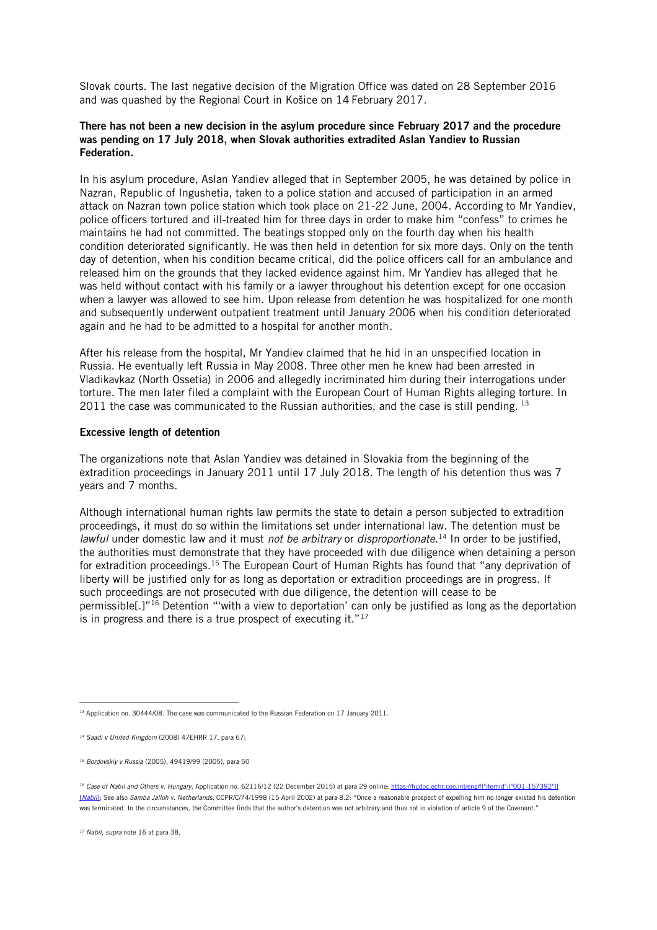Slovak courts. The last negative decision of the Migration Office was dated on 28 September 2016 and was quashed by the Regional Court in Košice on 14 February 2017.

## There has not been a new decision in the asylum procedure since February 2017 and the procedure was pending on 17 July 2018, when Slovak authorities extradited Aslan Yandiev to Russian Federation.

In his asylum procedure, Aslan Yandiev alleged that in September 2005, he was detained by police in Nazran, Republic of Ingushetia, taken to a police station and accused of participation in an armed attack on Nazran town police station which took place on 21-22 June, 2004. According to Mr Yandiev, police officers tortured and ill-treated him for three days in order to make him "confess" to crimes he maintains he had not committed. The beatings stopped only on the fourth day when his health condition deteriorated significantly. He was then held in detention for six more days. Only on the tenth day of detention, when his condition became critical, did the police officers call for an ambulance and released him on the grounds that they lacked evidence against him. Mr Yandiev has alleged that he was held without contact with his family or a lawyer throughout his detention except for one occasion when a lawyer was allowed to see him. Upon release from detention he was hospitalized for one month and subsequently underwent outpatient treatment until January 2006 when his condition deteriorated again and he had to be admitted to a hospital for another month.

After his release from the hospital, Mr Yandiev claimed that he hid in an unspecified location in Russia. He eventually left Russia in May 2008. Three other men he knew had been arrested in Vladikavkaz (North Ossetia) in 2006 and allegedly incriminated him during their interrogations under torture. The men later filed a complaint with the European Court of Human Rights alleging torture. In 2011 the case was communicated to the Russian authorities, and the case is still pending.  $13$ 

## Excessive length of detention

The organizations note that Aslan Yandiev was detained in Slovakia from the beginning of the extradition proceedings in January 2011 until 17 July 2018. The length of his detention thus was 7 years and 7 months.

<span id="page-3-0"></span>Although international human rights law permits the state to detain a person subjected to extradition proceedings, it must do so within the limitations set under international law. The detention must be lawful under domestic law and it must not be arbitrary or disproportionate.<sup>14</sup> In order to be justified, the authorities must demonstrate that they have proceeded with due diligence when detaining a person for extradition proceedings.15 The European Court of Human Rights has found that "any deprivation of liberty will be justified only for as long as deportation or extradition proceedings are in progress. If such proceedings are not prosecuted with due diligence, the detention will cease to be permissible[.]"<sup>16</sup> Detention "'with a view to deportation' can only be justified as long as the deportation is in progress and there is a true prospect of executing it."17

<sup>&</sup>lt;sup>13</sup> Application no. 30444/08. The case was communicated to the Russian Federation on 17 January 2011.

<sup>&</sup>lt;sup>14</sup> Saadi v United Kingdom (2008) 47EHRR 17, para 67;

<sup>15</sup> Bordovskiy v Russia (2005), 49419/99 (2005), para 50

<sup>&</sup>lt;sup>16</sup> Case of Nabil and Others v. Hungary, Application no. 62116/12 (22 December 2015) at para 29 online: https://hudoc.echr.coe.int/eng#{"itemid":["001-157392"]} [Nabil]; See also Samba Jalloh v. Netherlands, CCPR/C/74/1998 (15 April 2002) at para 8.2: "Once a reasonable prospect of expelling him no longer existed his detention was terminated. In the circumstances, the Committee finds that the author's detention was not arbitrary and thus not in violation of article 9 of the Covenant."

<sup>&</sup>lt;sup>17</sup> Nabil, supra not[e 16](#page-3-0) at para 38.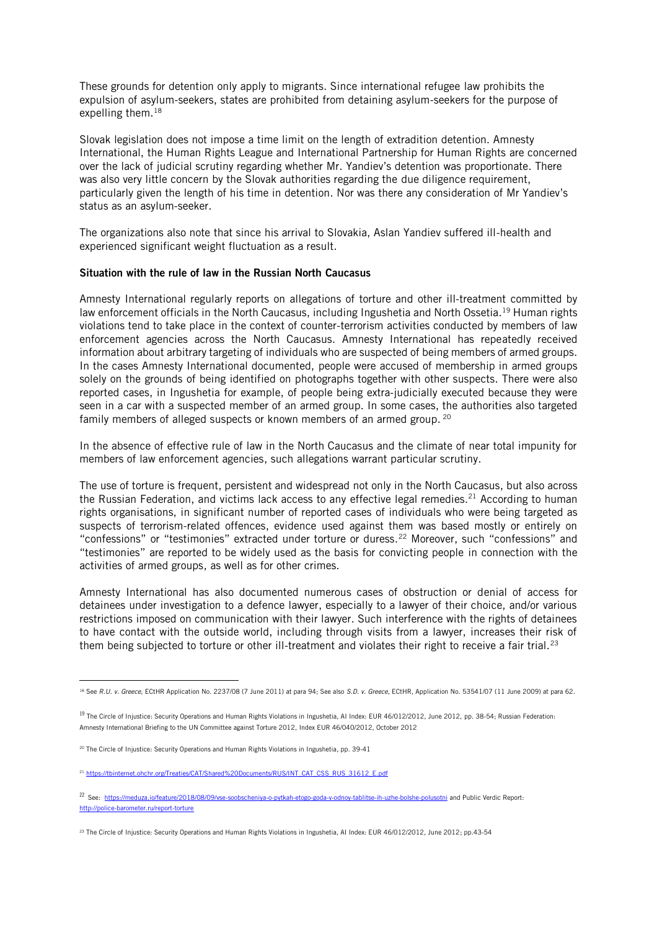These grounds for detention only apply to migrants. Since international refugee law prohibits the expulsion of asylum-seekers, states are prohibited from detaining asylum-seekers for the purpose of expelling them.<sup>18</sup>

Slovak legislation does not impose a time limit on the length of extradition detention. Amnesty International, the Human Rights League and International Partnership for Human Rights are concerned over the lack of judicial scrutiny regarding whether Mr. Yandiev's detention was proportionate. There was also very little concern by the Slovak authorities regarding the due diligence requirement, particularly given the length of his time in detention. Nor was there any consideration of Mr Yandiev's status as an asylum-seeker.

The organizations also note that since his arrival to Slovakia, Aslan Yandiev suffered ill-health and experienced significant weight fluctuation as a result.

## Situation with the rule of law in the Russian North Caucasus

Amnesty International regularly reports on allegations of torture and other ill-treatment committed by law enforcement officials in the North Caucasus, including Ingushetia and North Ossetia.19 Human rights violations tend to take place in the context of counter-terrorism activities conducted by members of law enforcement agencies across the North Caucasus. Amnesty International has repeatedly received information about arbitrary targeting of individuals who are suspected of being members of armed groups. In the cases Amnesty International documented, people were accused of membership in armed groups solely on the grounds of being identified on photographs together with other suspects. There were also reported cases, in Ingushetia for example, of people being extra-judicially executed because they were seen in a car with a suspected member of an armed group. In some cases, the authorities also targeted family members of alleged suspects or known members of an armed group. <sup>20</sup>

In the absence of effective rule of law in the North Caucasus and the climate of near total impunity for members of law enforcement agencies, such allegations warrant particular scrutiny.

The use of torture is frequent, persistent and widespread not only in the North Caucasus, but also across the Russian Federation, and victims lack access to any effective legal remedies.<sup>21</sup> According to human rights organisations, in significant number of reported cases of individuals who were being targeted as suspects of terrorism-related offences, evidence used against them was based mostly or entirely on "confessions" or "testimonies" extracted under torture or duress.<sup>22</sup> Moreover, such "confessions" and "testimonies" are reported to be widely used as the basis for convicting people in connection with the activities of armed groups, as well as for other crimes.

Amnesty International has also documented numerous cases of obstruction or denial of access for detainees under investigation to a defence lawyer, especially to a lawyer of their choice, and/or various restrictions imposed on communication with their lawyer. Such interference with the rights of detainees to have contact with the outside world, including through visits from a lawyer, increases their risk of them being subjected to torture or other ill-treatment and violates their right to receive a fair trial.<sup>23</sup>

<sup>&</sup>lt;sup>18</sup> See R.U. v. Greece, ECtHR Application No. 2237/08 (7 June 2011) at para 94; See also S.D. v. Greece, ECtHR, Application No. 53541/07 (11 June 2009) at para 62.

<sup>&</sup>lt;sup>19</sup> The Circle of Injustice: Security Operations and Human Rights Violations in Ingushetia, AI Index: EUR 46/012/2012, June 2012, pp. 38-54; Russian Federation: Amnesty International Briefing to the UN Committee against Torture 2012, Index EUR 46/040/2012, October 2012

<sup>20</sup> The Circle of Injustice: Security Operations and Human Rights Violations in Ingushetia, pp. 39-41

<sup>&</sup>lt;sup>21</sup> [https://tbinternet.ohchr.org/Treaties/CAT/Shared%20Documents/RUS/INT\\_CAT\\_CSS\\_RUS\\_31612\\_E.pdf](https://tbinternet.ohchr.org/Treaties/CAT/Shared%20Documents/RUS/INT_CAT_CSS_RUS_31612_E.pdf)

<sup>22</sup> See:<https://meduza.io/feature/2018/08/09/vse-soobscheniya-o-pytkah-etogo-goda-v-odnoy-tablitse-ih-uzhe-bolshe-polusotni> and Public Verdic Report: <http://police-barometer.ru/report-torture>

<sup>&</sup>lt;sup>23</sup> The Circle of Injustice: Security Operations and Human Rights Violations in Ingushetia, AI Index: FUR 46/012/2012, June 2012; pp.43-54